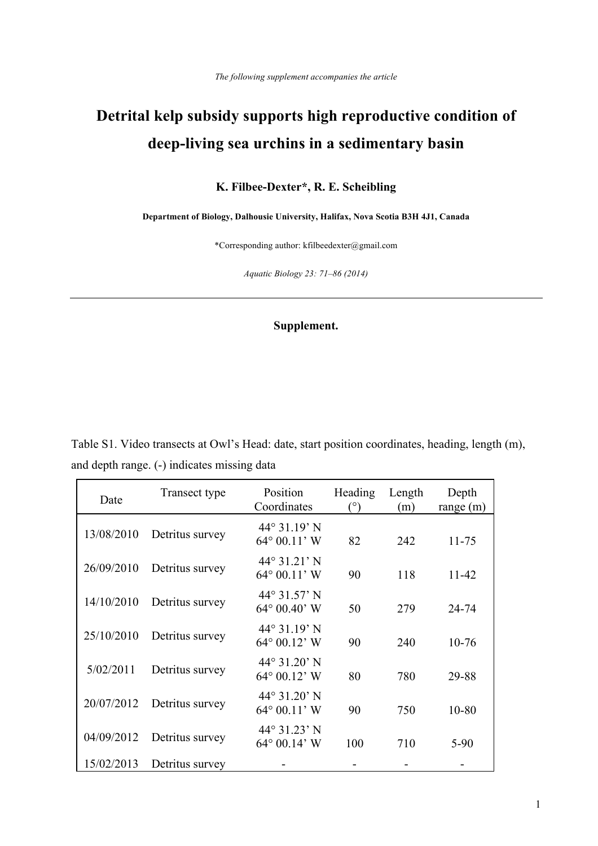## **Detrital kelp subsidy supports high reproductive condition of deep-living sea urchins in a sedimentary basin**

## **K. Filbee-Dexter\*, R. E. Scheibling**

**Department of Biology, Dalhousie University, Halifax, Nova Scotia B3H 4J1, Canada**

\*Corresponding author: kfilbeedexter@gmail.com

*Aquatic Biology 23: 71–86 (2014)*

## **Supplement.**

Table S1. Video transects at Owl's Head: date, start position coordinates, heading, length (m), and depth range. (-) indicates missing data

| Date       | Transect type   | Position<br>Coordinates                       | Heading<br>(°) | Length<br>(m) | Depth<br>range $(m)$ |
|------------|-----------------|-----------------------------------------------|----------------|---------------|----------------------|
| 13/08/2010 | Detritus survey | 44° 31.19' N<br>$64^{\circ} 00.11' W$         | 82             | 242           | $11 - 75$            |
| 26/09/2010 | Detritus survey | $44^{\circ}31.21'$ N<br>$64^{\circ} 00.11' W$ | 90             | 118           | $11 - 42$            |
| 14/10/2010 | Detritus survey | $44^{\circ}31.57'$ N<br>$64^{\circ}$ 00.40° W | 50             | 279           | 24-74                |
| 25/10/2010 | Detritus survey | $44^{\circ}31.19'$ N<br>$64^{\circ}$ 00.12' W | 90             | 240           | $10-76$              |
| 5/02/2011  | Detritus survey | $44^{\circ}31.20'$ N<br>$64^{\circ}$ 00.12' W | 80             | 780           | 29-88                |
| 20/07/2012 | Detritus survey | $44^{\circ}31.20'$ N<br>$64^{\circ} 00.11' W$ | 90             | 750           | $10 - 80$            |
| 04/09/2012 | Detritus survey | 44° 31.23' N<br>$64^{\circ}$ 00.14' W         | 100            | 710           | $5-90$               |
| 15/02/2013 | Detritus survey |                                               |                |               |                      |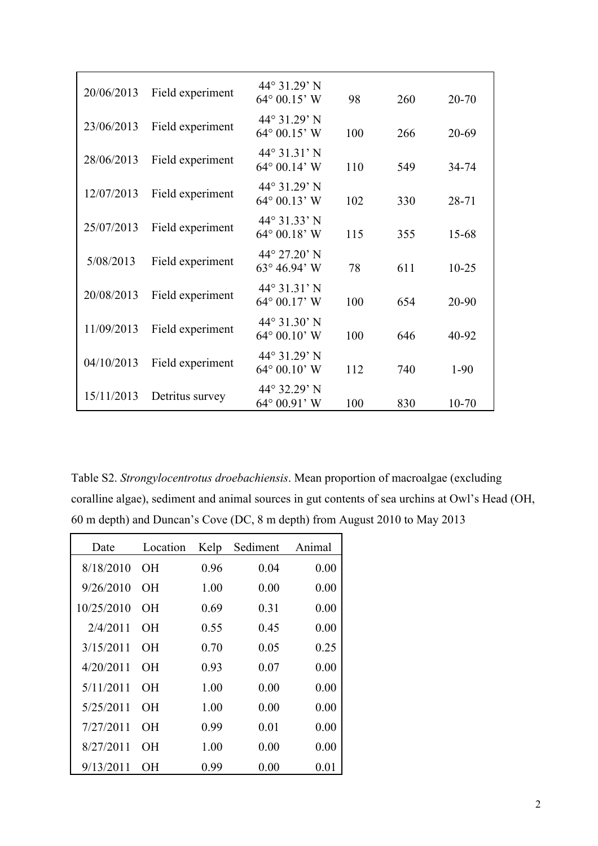| 20/06/2013 | Field experiment | $44^{\circ}$ 31.29' N<br>$64^{\circ}$ 00.15' W       | 98  | 260 | 20-70     |
|------------|------------------|------------------------------------------------------|-----|-----|-----------|
| 23/06/2013 | Field experiment | $44^{\circ}31.29'$ N<br>$64^{\circ}$ 00.15' W        | 100 | 266 | 20-69     |
| 28/06/2013 | Field experiment | $44^{\circ}31.31'$ N<br>$64^{\circ}$ 00.14' W        | 110 | 549 | 34-74     |
| 12/07/2013 | Field experiment | $44^{\circ}31.29'$ N<br>$64^{\circ}$ 00.13' W        | 102 | 330 | 28-71     |
| 25/07/2013 | Field experiment | 44° 31.33' N<br>$64^{\circ}$ 00.18' W                | 115 | 355 | 15-68     |
| 5/08/2013  | Field experiment | 44° 27.20' N<br>$63^{\circ} 46.94^{\circ}$ W         | 78  | 611 | $10 - 25$ |
| 20/08/2013 | Field experiment | $44^{\circ}31.31'$ N<br>$64^{\circ}$ 00.17' W        | 100 | 654 | 20-90     |
| 11/09/2013 | Field experiment | $44^{\circ}31.30'$ N<br>$64^{\circ}$ 00.10' W        | 100 | 646 | 40-92     |
| 04/10/2013 | Field experiment | $44^{\circ}31.29'$ N<br>$64^{\circ} 00.10^{\circ}$ W | 112 | 740 | $1-90$    |
| 15/11/2013 | Detritus survey  | 44° 32.29' N<br>$64^{\circ} 00.91' W$                | 100 | 830 | $10 - 70$ |

Table S2. *Strongylocentrotus droebachiensis*. Mean proportion of macroalgae (excluding coralline algae), sediment and animal sources in gut contents of sea urchins at Owl's Head (OH, 60 m depth) and Duncan's Cove (DC, 8 m depth) from August 2010 to May 2013

| Date       | Location  | Kelp | Sediment | Animal |
|------------|-----------|------|----------|--------|
| 8/18/2010  | <b>OH</b> | 0.96 | 0.04     | 0.00   |
| 9/26/2010  | OН        | 1.00 | 0.00     | 0.00   |
| 10/25/2010 | OН        | 0.69 | 0.31     | 0.00   |
| 2/4/2011   | OН        | 0.55 | 0.45     | 0.00   |
| 3/15/2011  | OН        | 0.70 | 0.05     | 0.25   |
| 4/20/2011  | OН        | 0.93 | 0.07     | 0.00   |
| 5/11/2011  | OН        | 1.00 | 0.00     | 0.00   |
| 5/25/2011  | OН        | 1.00 | 0.00     | 0.00   |
| 7/27/2011  | OН        | 0.99 | 0.01     | 0.00   |
| 8/27/2011  | OН        | 1.00 | 0.00     | 0.00   |
| 9/13/2011  | OН        | 0.99 | 0.00     | 0.01   |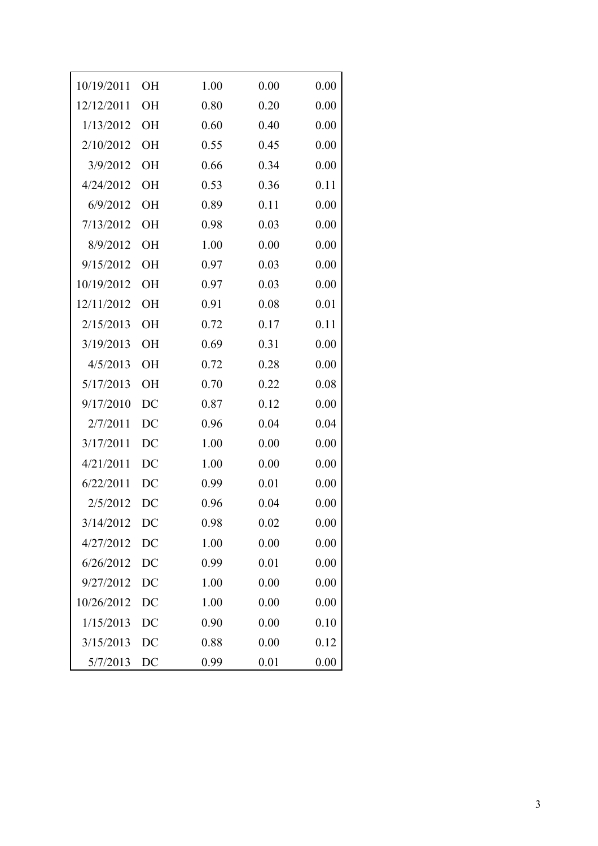| 10/19/2011 | <b>OH</b> | 1.00 | 0.00 | 0.00 |
|------------|-----------|------|------|------|
| 12/12/2011 | <b>OH</b> | 0.80 | 0.20 | 0.00 |
| 1/13/2012  | <b>OH</b> | 0.60 | 0.40 | 0.00 |
| 2/10/2012  | <b>OH</b> | 0.55 | 0.45 | 0.00 |
| 3/9/2012   | <b>OH</b> | 0.66 | 0.34 | 0.00 |
| 4/24/2012  | <b>OH</b> | 0.53 | 0.36 | 0.11 |
| 6/9/2012   | OH        | 0.89 | 0.11 | 0.00 |
| 7/13/2012  | <b>OH</b> | 0.98 | 0.03 | 0.00 |
| 8/9/2012   | <b>OH</b> | 1.00 | 0.00 | 0.00 |
| 9/15/2012  | <b>OH</b> | 0.97 | 0.03 | 0.00 |
| 10/19/2012 | <b>OH</b> | 0.97 | 0.03 | 0.00 |
| 12/11/2012 | <b>OH</b> | 0.91 | 0.08 | 0.01 |
| 2/15/2013  | <b>OH</b> | 0.72 | 0.17 | 0.11 |
| 3/19/2013  | <b>OH</b> | 0.69 | 0.31 | 0.00 |
| 4/5/2013   | OH        | 0.72 | 0.28 | 0.00 |
| 5/17/2013  | <b>OH</b> | 0.70 | 0.22 | 0.08 |
| 9/17/2010  | DC        | 0.87 | 0.12 | 0.00 |
| 2/7/2011   | DC        | 0.96 | 0.04 | 0.04 |
| 3/17/2011  | DC        | 1.00 | 0.00 | 0.00 |
| 4/21/2011  | DC        | 1.00 | 0.00 | 0.00 |
| 6/22/2011  | DC        | 0.99 | 0.01 | 0.00 |
| 2/5/2012   | DC        | 0.96 | 0.04 | 0.00 |
| 3/14/2012  | DC        | 0.98 | 0.02 | 0.00 |
| 4/27/2012  | DC        | 1.00 | 0.00 | 0.00 |
| 6/26/2012  | DC        | 0.99 | 0.01 | 0.00 |
| 9/27/2012  | DC        | 1.00 | 0.00 | 0.00 |
| 10/26/2012 | DC        | 1.00 | 0.00 | 0.00 |
| 1/15/2013  | DC        | 0.90 | 0.00 | 0.10 |
| 3/15/2013  | DC        | 0.88 | 0.00 | 0.12 |
| 5/7/2013   | DC        | 0.99 | 0.01 | 0.00 |